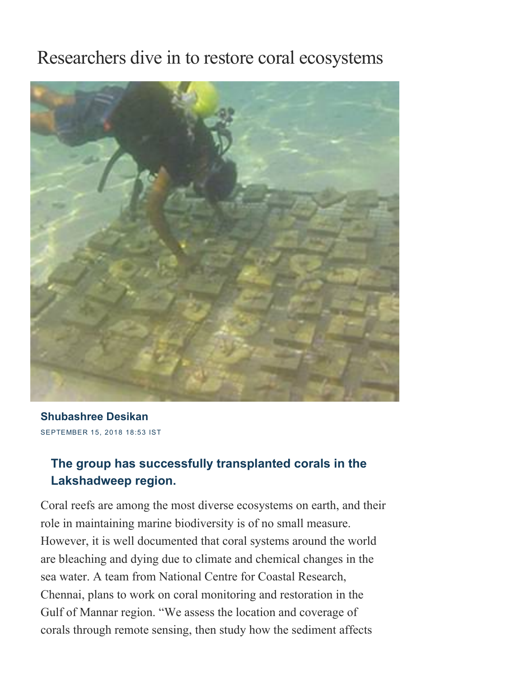## Researchers dive in to restore coral ecosystems



SEPTEMBER 15, 2018 18:53 IST [Shubashree](https://www.thehindu.com/profile/author/Shubashree-Desikan-249/) Desikan

## The group has successfully transplanted corals in the Lakshadweep region.

Coral reefs are among the most diverse ecosystems on earth, and their role in maintaining marine biodiversity is of no small measure. However, it is well documented that coral systems around the world are bleaching and dying due to climate and chemical changes in the sea water. A team from National Centre for Coastal Research, Chennai, plans to work on coral monitoring and restoration in the Gulf of Mannar region. "We assess the location and coverage of corals through remote sensing, then study how the sediment affects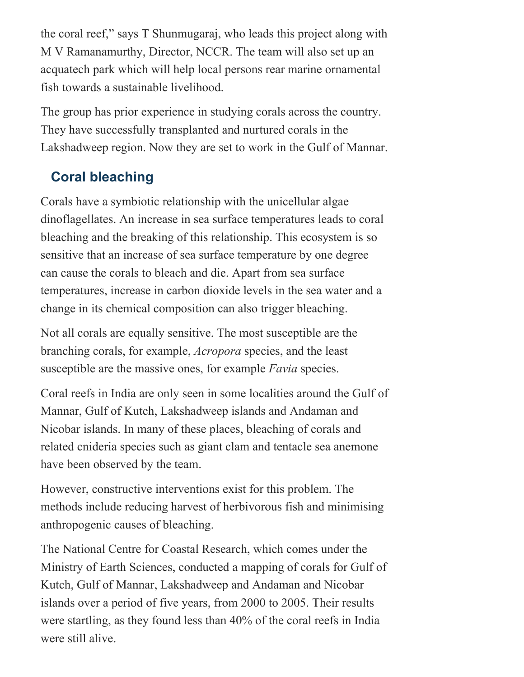the coral reef," says T Shunmugaraj, who leads this project along with M V Ramanamurthy, Director, NCCR. The team will also set up an acquatech park which will help local persons rear marine ornamental fish towards a sustainable livelihood.

The group has prior experience in studying corals across the country. They have successfully transplanted and nurtured corals in the Lakshadweep region. Now they are set to work in the Gulf of Mannar.

## Coral bleaching

Corals have a symbiotic relationship with the unicellular algae dinoflagellates. An increase in sea surface temperatures leads to coral bleaching and the breaking of this relationship. This ecosystem is so sensitive that an increase of sea surface temperature by one degree can cause the corals to bleach and die. Apart from sea surface temperatures, increase in carbon dioxide levels in the sea water and a change in its chemical composition can also trigger bleaching.

Not all corals are equally sensitive. The most susceptible are the branching corals, for example, Acropora species, and the least susceptible are the massive ones, for example *Favia* species.

Coral reefs in India are only seen in some localities around the Gulf of Mannar, Gulf of Kutch, Lakshadweep islands and Andaman and Nicobar islands. In many of these places, bleaching of corals and related cnideria species such as giant clam and tentacle sea anemone have been observed by the team.

However, constructive interventions exist for this problem. The methods include reducing harvest of herbivorous fish and minimising anthropogenic causes of bleaching.

The National Centre for Coastal Research, which comes under the Ministry of Earth Sciences, conducted a mapping of corals for Gulf of Kutch, Gulf of Mannar, Lakshadweep and Andaman and Nicobar islands over a period of five years, from 2000 to 2005. Their results were startling, as they found less than 40% of the coral reefs in India were still alive.